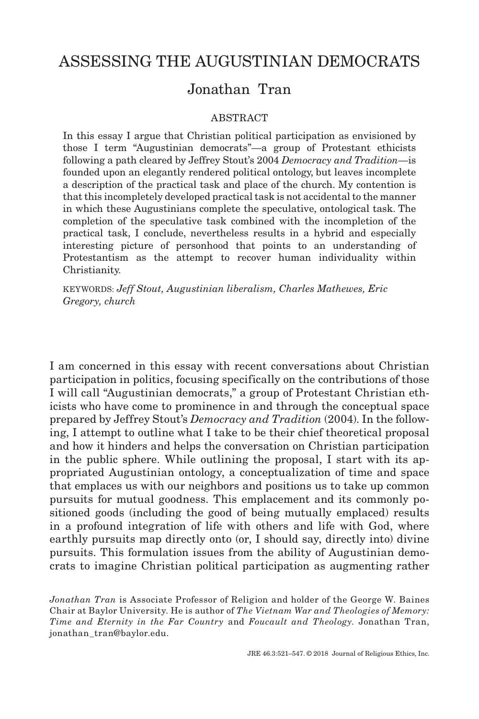# ASSESSING THE AUGUSTINIAN DEMOCRATS

# Jonathan Tran

# **ABSTRACT**

In this essay I argue that Christian political participation as envisioned by those I term "Augustinian democrats"—a group of Protestant ethicists following a path cleared by Jeffrey Stout's 2004 *Democracy and Tradition*—is founded upon an elegantly rendered political ontology, but leaves incomplete a description of the practical task and place of the church. My contention is that this incompletely developed practical task is not accidental to the manner in which these Augustinians complete the speculative, ontological task. The completion of the speculative task combined with the incompletion of the practical task, I conclude, nevertheless results in a hybrid and especially interesting picture of personhood that points to an understanding of Protestantism as the attempt to recover human individuality within Christianity.

KEYWORDS: *Jeff Stout, Augustinian liberalism, Charles Mathewes, Eric Gregory, church*

I am concerned in this essay with recent conversations about Christian participation in politics, focusing specifically on the contributions of those I will call "Augustinian democrats," a group of Protestant Christian ethicists who have come to prominence in and through the conceptual space prepared by Jeffrey Stout's *Democracy and Tradition* (2004). In the following, I attempt to outline what I take to be their chief theoretical proposal and how it hinders and helps the conversation on Christian participation in the public sphere. While outlining the proposal, I start with its appropriated Augustinian ontology, a conceptualization of time and space that emplaces us with our neighbors and positions us to take up common pursuits for mutual goodness. This emplacement and its commonly positioned goods (including the good of being mutually emplaced) results in a profound integration of life with others and life with God, where earthly pursuits map directly onto (or, I should say, directly into) divine pursuits. This formulation issues from the ability of Augustinian democrats to imagine Christian political participation as augmenting rather

*Jonathan Tran* is Associate Professor of Religion and holder of the George W. Baines Chair at Baylor University. He is author of *The Vietnam War and Theologies of Memory: Time and Eternity in the Far Country* and *Foucault and Theology*. Jonathan Tran, [jonathan\\_tran@baylor.edu](mailto:jonathan_tran@baylor.edu).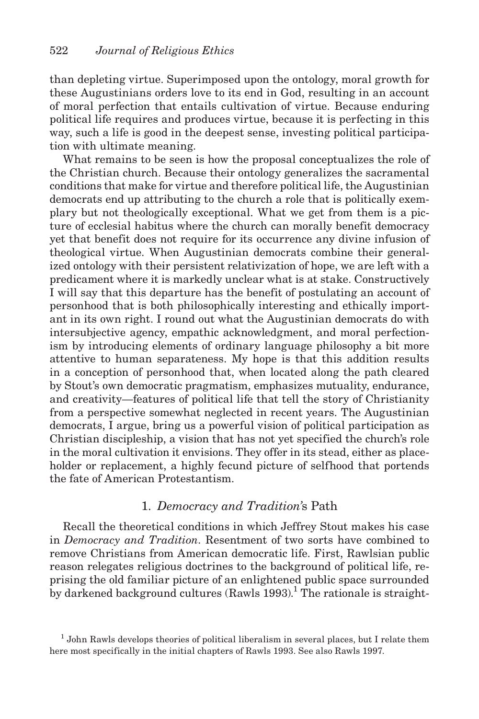than depleting virtue. Superimposed upon the ontology, moral growth for these Augustinians orders love to its end in God, resulting in an account of moral perfection that entails cultivation of virtue. Because enduring political life requires and produces virtue, because it is perfecting in this way, such a life is good in the deepest sense, investing political participation with ultimate meaning.

What remains to be seen is how the proposal conceptualizes the role of the Christian church. Because their ontology generalizes the sacramental conditions that make for virtue and therefore political life, the Augustinian democrats end up attributing to the church a role that is politically exemplary but not theologically exceptional. What we get from them is a picture of ecclesial habitus where the church can morally benefit democracy yet that benefit does not require for its occurrence any divine infusion of theological virtue. When Augustinian democrats combine their generalized ontology with their persistent relativization of hope, we are left with a predicament where it is markedly unclear what is at stake. Constructively I will say that this departure has the benefit of postulating an account of personhood that is both philosophically interesting and ethically important in its own right. I round out what the Augustinian democrats do with intersubjective agency, empathic acknowledgment, and moral perfectionism by introducing elements of ordinary language philosophy a bit more attentive to human separateness. My hope is that this addition results in a conception of personhood that, when located along the path cleared by Stout's own democratic pragmatism, emphasizes mutuality, endurance, and creativity—features of political life that tell the story of Christianity from a perspective somewhat neglected in recent years. The Augustinian democrats, I argue, bring us a powerful vision of political participation as Christian discipleship, a vision that has not yet specified the church's role in the moral cultivation it envisions. They offer in its stead, either as placeholder or replacement, a highly fecund picture of selfhood that portends the fate of American Protestantism.

# 1. *Democracy and Tradition'*s Path

Recall the theoretical conditions in which Jeffrey Stout makes his case in *Democracy and Tradition*. Resentment of two sorts have combined to remove Christians from American democratic life. First, Rawlsian public reason relegates religious doctrines to the background of political life, reprising the old familiar picture of an enlightened public space surrounded by darkened background cultures (Rawls 1993).<sup>1</sup> The rationale is straight-

<sup>&</sup>lt;sup>1</sup> John Rawls develops theories of political liberalism in several places, but I relate them here most specifically in the initial chapters of Rawls 1993. See also Rawls 1997.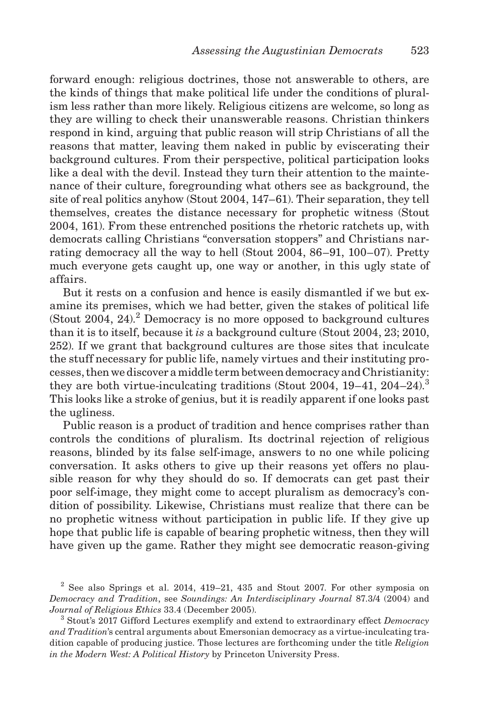forward enough: religious doctrines, those not answerable to others, are the kinds of things that make political life under the conditions of pluralism less rather than more likely. Religious citizens are welcome, so long as they are willing to check their unanswerable reasons. Christian thinkers respond in kind, arguing that public reason will strip Christians of all the reasons that matter, leaving them naked in public by eviscerating their background cultures. From their perspective, political participation looks like a deal with the devil. Instead they turn their attention to the maintenance of their culture, foregrounding what others see as background, the site of real politics anyhow (Stout 2004, 147–61). Their separation, they tell themselves, creates the distance necessary for prophetic witness (Stout 2004, 161). From these entrenched positions the rhetoric ratchets up, with democrats calling Christians "conversation stoppers" and Christians narrating democracy all the way to hell (Stout 2004, 86–91, 100–07). Pretty much everyone gets caught up, one way or another, in this ugly state of affairs.

But it rests on a confusion and hence is easily dismantled if we but examine its premises, which we had better, given the stakes of political life (Stout  $2004$ ,  $24$ ).<sup>2</sup> Democracy is no more opposed to background cultures than it is to itself, because it *is* a background culture (Stout 2004, 23; 2010, 252). If we grant that background cultures are those sites that inculcate the stuff necessary for public life, namely virtues and their instituting processes, then we discover a middle term between democracy and Christianity: they are both virtue-inculcating traditions (Stout 2004, 19-41, 204-24).<sup>3</sup> This looks like a stroke of genius, but it is readily apparent if one looks past the ugliness.

Public reason is a product of tradition and hence comprises rather than controls the conditions of pluralism. Its doctrinal rejection of religious reasons, blinded by its false self-image, answers to no one while policing conversation. It asks others to give up their reasons yet offers no plausible reason for why they should do so. If democrats can get past their poor self-image, they might come to accept pluralism as democracy's condition of possibility. Likewise, Christians must realize that there can be no prophetic witness without participation in public life. If they give up hope that public life is capable of bearing prophetic witness, then they will have given up the game. Rather they might see democratic reason-giving

 $2$  See also Springs et al. 2014, 419–21, 435 and Stout 2007. For other symposia on *Democracy and Tradition*, see *Soundings: An Interdisciplinary Journal* 87.3/4 (2004) and *Journal of Religious Ethics* 33.4 (December 2005).

<sup>3</sup> Stout's 2017 Gifford Lectures exemplify and extend to extraordinary effect *Democracy and Tradition*'s central arguments about Emersonian democracy as a virtue-inculcating tradition capable of producing justice. Those lectures are forthcoming under the title *Religion in the Modern West: A Political History* by Princeton University Press.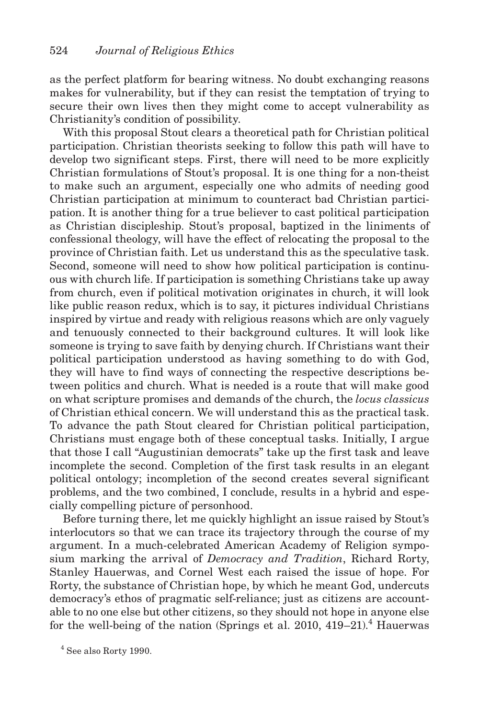as the perfect platform for bearing witness. No doubt exchanging reasons makes for vulnerability, but if they can resist the temptation of trying to secure their own lives then they might come to accept vulnerability as Christianity's condition of possibility.

With this proposal Stout clears a theoretical path for Christian political participation. Christian theorists seeking to follow this path will have to develop two significant steps. First, there will need to be more explicitly Christian formulations of Stout's proposal. It is one thing for a non-theist to make such an argument, especially one who admits of needing good Christian participation at minimum to counteract bad Christian participation. It is another thing for a true believer to cast political participation as Christian discipleship. Stout's proposal, baptized in the liniments of confessional theology, will have the effect of relocating the proposal to the province of Christian faith. Let us understand this as the speculative task. Second, someone will need to show how political participation is continuous with church life. If participation is something Christians take up away from church, even if political motivation originates in church, it will look like public reason redux, which is to say, it pictures individual Christians inspired by virtue and ready with religious reasons which are only vaguely and tenuously connected to their background cultures. It will look like someone is trying to save faith by denying church. If Christians want their political participation understood as having something to do with God, they will have to find ways of connecting the respective descriptions between politics and church. What is needed is a route that will make good on what scripture promises and demands of the church, the *locus classicus* of Christian ethical concern. We will understand this as the practical task. To advance the path Stout cleared for Christian political participation, Christians must engage both of these conceptual tasks. Initially, I argue that those I call "Augustinian democrats" take up the first task and leave incomplete the second. Completion of the first task results in an elegant political ontology; incompletion of the second creates several significant problems, and the two combined, I conclude, results in a hybrid and especially compelling picture of personhood.

Before turning there, let me quickly highlight an issue raised by Stout's interlocutors so that we can trace its trajectory through the course of my argument. In a much-celebrated American Academy of Religion symposium marking the arrival of *Democracy and Tradition*, Richard Rorty, Stanley Hauerwas, and Cornel West each raised the issue of hope. For Rorty, the substance of Christian hope, by which he meant God, undercuts democracy's ethos of pragmatic self-reliance; just as citizens are accountable to no one else but other citizens, so they should not hope in anyone else for the well-being of the nation (Springs et al. 2010,  $419-21$ ).<sup>4</sup> Hauerwas

<sup>4</sup> See also Rorty 1990.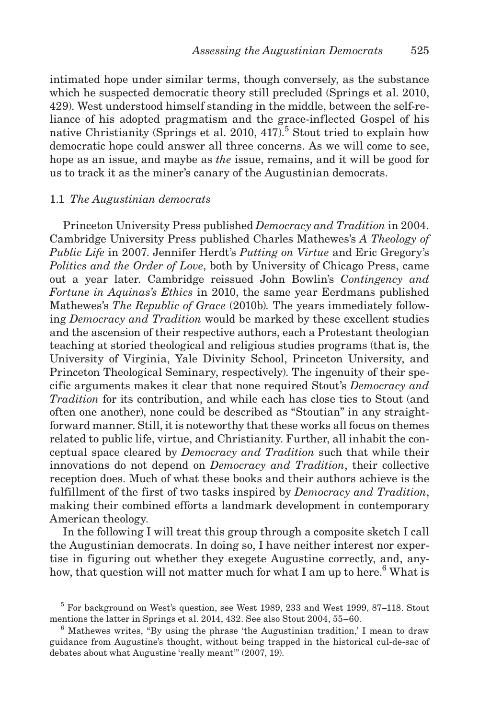intimated hope under similar terms, though conversely, as the substance which he suspected democratic theory still precluded (Springs et al. 2010, 429). West understood himself standing in the middle, between the self-reliance of his adopted pragmatism and the grace-inflected Gospel of his native Christianity (Springs et al. 2010, 417).<sup>5</sup> Stout tried to explain how democratic hope could answer all three concerns. As we will come to see, hope as an issue, and maybe as *the* issue, remains, and it will be good for us to track it as the miner's canary of the Augustinian democrats.

# 1.1 *The Augustinian democrats*

Princeton University Press published *Democracy and Tradition* in 2004. Cambridge University Press published Charles Mathewes's *A Theology of Public Life* in 2007. Jennifer Herdt's *Putting on Virtue* and Eric Gregory's *Politics and the Order of Love*, both by University of Chicago Press, came out a year later. Cambridge reissued John Bowlin's *Contingency and Fortune in Aquinas's Ethics* in 2010, the same year Eerdmans published Mathewes's *The Republic of Grace* (2010b)*.* The years immediately following *Democracy and Tradition* would be marked by these excellent studies and the ascension of their respective authors, each a Protestant theologian teaching at storied theological and religious studies programs (that is, the University of Virginia, Yale Divinity School, Princeton University, and Princeton Theological Seminary, respectively). The ingenuity of their specific arguments makes it clear that none required Stout's *Democracy and Tradition* for its contribution, and while each has close ties to Stout (and often one another), none could be described as "Stoutian" in any straightforward manner. Still, it is noteworthy that these works all focus on themes related to public life, virtue, and Christianity. Further, all inhabit the conceptual space cleared by *Democracy and Tradition* such that while their innovations do not depend on *Democracy and Tradition*, their collective reception does. Much of what these books and their authors achieve is the fulfillment of the first of two tasks inspired by *Democracy and Tradition*, making their combined efforts a landmark development in contemporary American theology.

In the following I will treat this group through a composite sketch I call the Augustinian democrats. In doing so, I have neither interest nor expertise in figuring out whether they exegete Augustine correctly, and, anyhow, that question will not matter much for what I am up to here.<sup>6</sup> What is

 $^5$  For background on West's question, see West 1989, 233 and West 1999, 87–118. Stout mentions the latter in Springs et al. 2014, 432. See also Stout 2004, 55–60.

<sup>&</sup>lt;sup>6</sup> Mathewes writes, "By using the phrase 'the Augustinian tradition,' I mean to draw guidance from Augustine's thought, without being trapped in the historical cul-de-sac of debates about what Augustine 'really meant'" (2007, 19).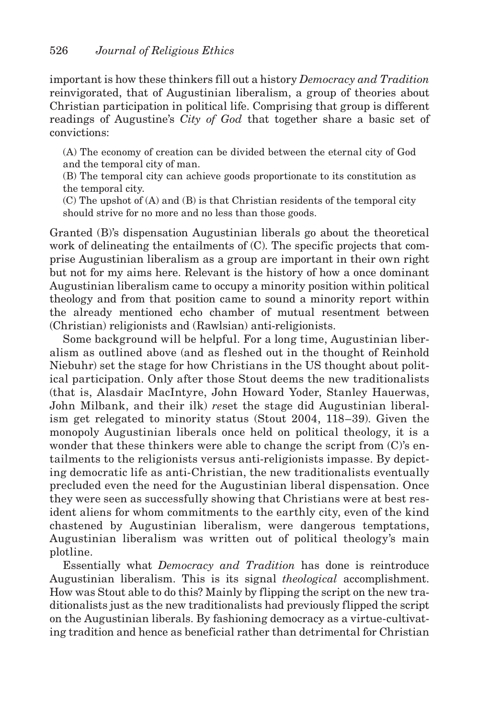important is how these thinkers fill out a history *Democracy and Tradition* reinvigorated, that of Augustinian liberalism, a group of theories about Christian participation in political life. Comprising that group is different readings of Augustine's *City of God* that together share a basic set of convictions:

(A) The economy of creation can be divided between the eternal city of God and the temporal city of man.

(B) The temporal city can achieve goods proportionate to its constitution as the temporal city.

(C) The upshot of (A) and (B) is that Christian residents of the temporal city should strive for no more and no less than those goods.

Granted (B)'s dispensation Augustinian liberals go about the theoretical work of delineating the entailments of (C). The specific projects that comprise Augustinian liberalism as a group are important in their own right but not for my aims here. Relevant is the history of how a once dominant Augustinian liberalism came to occupy a minority position within political theology and from that position came to sound a minority report within the already mentioned echo chamber of mutual resentment between (Christian) religionists and (Rawlsian) anti-religionists.

Some background will be helpful. For a long time, Augustinian liberalism as outlined above (and as fleshed out in the thought of Reinhold Niebuhr) set the stage for how Christians in the US thought about political participation. Only after those Stout deems the new traditionalists (that is, Alasdair MacIntyre, John Howard Yoder, Stanley Hauerwas, John Milbank, and their ilk) *re*set the stage did Augustinian liberalism get relegated to minority status (Stout 2004, 118–39). Given the monopoly Augustinian liberals once held on political theology, it is a wonder that these thinkers were able to change the script from (C)'s entailments to the religionists versus anti-religionists impasse. By depicting democratic life as anti-Christian, the new traditionalists eventually precluded even the need for the Augustinian liberal dispensation. Once they were seen as successfully showing that Christians were at best resident aliens for whom commitments to the earthly city, even of the kind chastened by Augustinian liberalism, were dangerous temptations, Augustinian liberalism was written out of political theology's main plotline.

Essentially what *Democracy and Tradition* has done is reintroduce Augustinian liberalism. This is its signal *theological* accomplishment. How was Stout able to do this? Mainly by flipping the script on the new traditionalists just as the new traditionalists had previously flipped the script on the Augustinian liberals. By fashioning democracy as a virtue-cultivating tradition and hence as beneficial rather than detrimental for Christian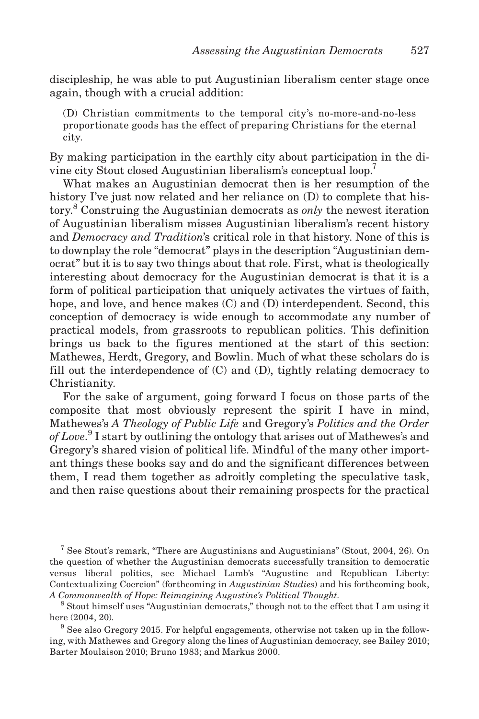discipleship, he was able to put Augustinian liberalism center stage once again, though with a crucial addition:

(D) Christian commitments to the temporal city's no-more-and-no-less proportionate goods has the effect of preparing Christians for the eternal city.

By making participation in the earthly city about participation in the divine city Stout closed Augustinian liberalism's conceptual loop.7

What makes an Augustinian democrat then is her resumption of the history I've just now related and her reliance on (D) to complete that history.<sup>8</sup> Construing the Augustinian democrats as *only* the newest iteration of Augustinian liberalism misses Augustinian liberalism's recent history and *Democracy and Tradition*'s critical role in that history. None of this is to downplay the role "democrat" plays in the description "Augustinian democrat" but it is to say two things about that role. First, what is theologically interesting about democracy for the Augustinian democrat is that it is a form of political participation that uniquely activates the virtues of faith, hope, and love, and hence makes (C) and (D) interdependent. Second, this conception of democracy is wide enough to accommodate any number of practical models, from grassroots to republican politics. This definition brings us back to the figures mentioned at the start of this section: Mathewes, Herdt, Gregory, and Bowlin. Much of what these scholars do is fill out the interdependence of (C) and (D), tightly relating democracy to Christianity.

For the sake of argument, going forward I focus on those parts of the composite that most obviously represent the spirit I have in mind, Mathewes's *A Theology of Public Life* and Gregory's *Politics and the Order of Love*. 9 I start by outlining the ontology that arises out of Mathewes's and Gregory's shared vision of political life. Mindful of the many other important things these books say and do and the significant differences between them, I read them together as adroitly completing the speculative task, and then raise questions about their remaining prospects for the practical

<sup>7</sup> See Stout's remark, "There are Augustinians and Augustinians" (Stout, 2004, 26). On the question of whether the Augustinian democrats successfully transition to democratic versus liberal politics, see Michael Lamb's "Augustine and Republican Liberty: Contextualizing Coercion" (forthcoming in *Augustinian Studies*) and his forthcoming book, *A Commonwealth of Hope: Reimagining Augustine's Political Thought.*

<sup>8</sup> Stout himself uses "Augustinian democrats," though not to the effect that I am using it here (2004, 20).

 $9^9$  See also Gregory 2015. For helpful engagements, otherwise not taken up in the following, with Mathewes and Gregory along the lines of Augustinian democracy, see Bailey 2010; Barter Moulaison 2010; Bruno 1983; and Markus 2000.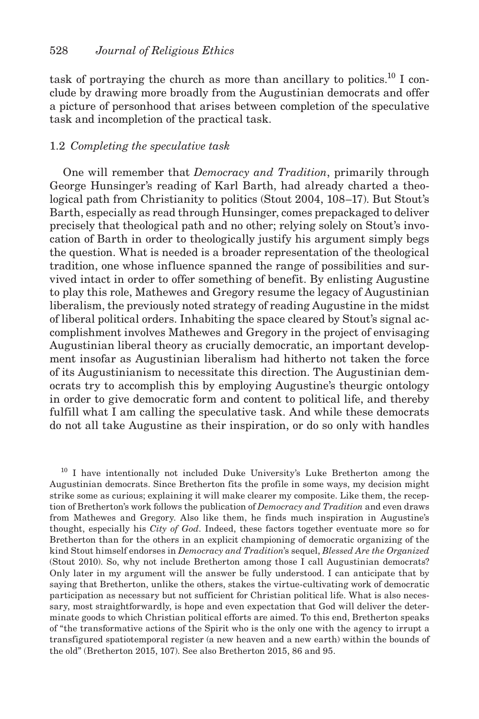task of portraying the church as more than ancillary to politics.<sup>10</sup> I conclude by drawing more broadly from the Augustinian democrats and offer a picture of personhood that arises between completion of the speculative task and incompletion of the practical task.

# 1.2 *Completing the speculative task*

One will remember that *Democracy and Tradition*, primarily through George Hunsinger's reading of Karl Barth, had already charted a theological path from Christianity to politics (Stout 2004, 108–17). But Stout's Barth, especially as read through Hunsinger, comes prepackaged to deliver precisely that theological path and no other; relying solely on Stout's invocation of Barth in order to theologically justify his argument simply begs the question. What is needed is a broader representation of the theological tradition, one whose influence spanned the range of possibilities and survived intact in order to offer something of benefit. By enlisting Augustine to play this role, Mathewes and Gregory resume the legacy of Augustinian liberalism, the previously noted strategy of reading Augustine in the midst of liberal political orders. Inhabiting the space cleared by Stout's signal accomplishment involves Mathewes and Gregory in the project of envisaging Augustinian liberal theory as crucially democratic, an important development insofar as Augustinian liberalism had hitherto not taken the force of its Augustinianism to necessitate this direction. The Augustinian democrats try to accomplish this by employing Augustine's theurgic ontology in order to give democratic form and content to political life, and thereby fulfill what I am calling the speculative task. And while these democrats do not all take Augustine as their inspiration, or do so only with handles

 $10$  I have intentionally not included Duke University's Luke Bretherton among the Augustinian democrats. Since Bretherton fits the profile in some ways, my decision might strike some as curious; explaining it will make clearer my composite. Like them, the reception of Bretherton's work follows the publication of *Democracy and Tradition* and even draws from Mathewes and Gregory. Also like them, he finds much inspiration in Augustine's thought, especially his *City of God*. Indeed, these factors together eventuate more so for Bretherton than for the others in an explicit championing of democratic organizing of the kind Stout himself endorses in *Democracy and Tradition*'s sequel, *Blessed Are the Organized* (Stout 2010). So, why not include Bretherton among those I call Augustinian democrats? Only later in my argument will the answer be fully understood. I can anticipate that by saying that Bretherton, unlike the others, stakes the virtue-cultivating work of democratic participation as necessary but not sufficient for Christian political life. What is also necessary, most straightforwardly, is hope and even expectation that God will deliver the determinate goods to which Christian political efforts are aimed. To this end, Bretherton speaks of "the transformative actions of the Spirit who is the only one with the agency to irrupt a transfigured spatiotemporal register (a new heaven and a new earth) within the bounds of the old" (Bretherton 2015, 107). See also Bretherton 2015, 86 and 95.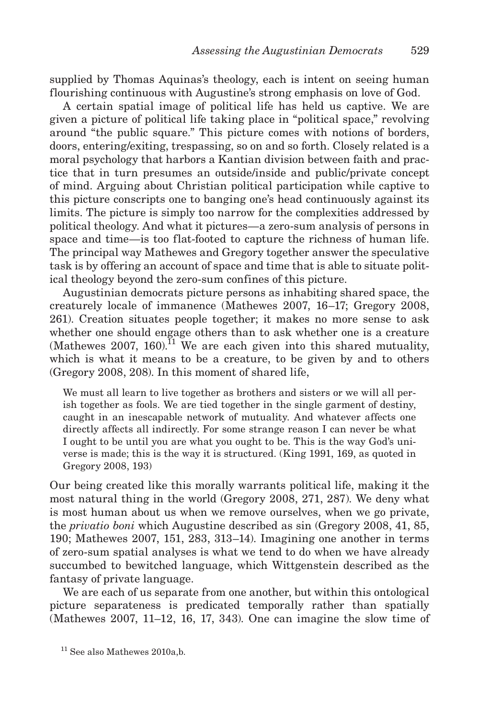supplied by Thomas Aquinas's theology, each is intent on seeing human flourishing continuous with Augustine's strong emphasis on love of God.

A certain spatial image of political life has held us captive. We are given a picture of political life taking place in "political space," revolving around "the public square." This picture comes with notions of borders, doors, entering/exiting, trespassing, so on and so forth. Closely related is a moral psychology that harbors a Kantian division between faith and practice that in turn presumes an outside/inside and public/private concept of mind. Arguing about Christian political participation while captive to this picture conscripts one to banging one's head continuously against its limits. The picture is simply too narrow for the complexities addressed by political theology. And what it pictures—a zero-sum analysis of persons in space and time—is too flat-footed to capture the richness of human life. The principal way Mathewes and Gregory together answer the speculative task is by offering an account of space and time that is able to situate political theology beyond the zero-sum confines of this picture.

Augustinian democrats picture persons as inhabiting shared space, the creaturely locale of immanence (Mathewes 2007, 16–17; Gregory 2008, 261). Creation situates people together; it makes no more sense to ask whether one should engage others than to ask whether one is a creature (Mathewes 2007, 160).<sup>11</sup> We are each given into this shared mutuality, which is what it means to be a creature, to be given by and to others (Gregory 2008, 208). In this moment of shared life,

We must all learn to live together as brothers and sisters or we will all perish together as fools. We are tied together in the single garment of destiny, caught in an inescapable network of mutuality. And whatever affects one directly affects all indirectly. For some strange reason I can never be what I ought to be until you are what you ought to be. This is the way God's universe is made; this is the way it is structured. (King 1991, 169, as quoted in Gregory 2008, 193)

Our being created like this morally warrants political life, making it the most natural thing in the world (Gregory 2008, 271, 287). We deny what is most human about us when we remove ourselves, when we go private, the *privatio boni* which Augustine described as sin (Gregory 2008, 41, 85, 190; Mathewes 2007, 151, 283, 313–14). Imagining one another in terms of zero-sum spatial analyses is what we tend to do when we have already succumbed to bewitched language, which Wittgenstein described as the fantasy of private language.

We are each of us separate from one another, but within this ontological picture separateness is predicated temporally rather than spatially (Mathewes 2007, 11–12, 16, 17, 343). One can imagine the slow time of

 $11$  See also Mathewes 2010a,b.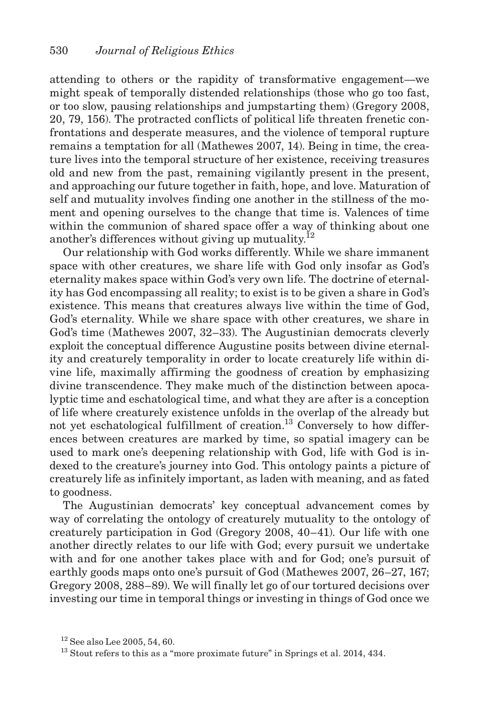attending to others or the rapidity of transformative engagement—we might speak of temporally distended relationships (those who go too fast, or too slow, pausing relationships and jumpstarting them) (Gregory 2008, 20, 79, 156). The protracted conflicts of political life threaten frenetic confrontations and desperate measures, and the violence of temporal rupture remains a temptation for all (Mathewes 2007, 14). Being in time, the creature lives into the temporal structure of her existence, receiving treasures old and new from the past, remaining vigilantly present in the present, and approaching our future together in faith, hope, and love. Maturation of self and mutuality involves finding one another in the stillness of the moment and opening ourselves to the change that time is. Valences of time within the communion of shared space offer a way of thinking about one another's differences without giving up mutuality. $^{12}$ 

Our relationship with God works differently. While we share immanent space with other creatures, we share life with God only insofar as God's eternality makes space within God's very own life. The doctrine of eternality has God encompassing all reality; to exist is to be given a share in God's existence. This means that creatures always live within the time of God, God's eternality. While we share space with other creatures, we share in God's time (Mathewes 2007, 32–33). The Augustinian democrats cleverly exploit the conceptual difference Augustine posits between divine eternality and creaturely temporality in order to locate creaturely life within divine life, maximally affirming the goodness of creation by emphasizing divine transcendence. They make much of the distinction between apocalyptic time and eschatological time, and what they are after is a conception of life where creaturely existence unfolds in the overlap of the already but not yet eschatological fulfillment of creation.<sup>13</sup> Conversely to how differences between creatures are marked by time, so spatial imagery can be used to mark one's deepening relationship with God, life with God is indexed to the creature's journey into God. This ontology paints a picture of creaturely life as infinitely important, as laden with meaning, and as fated to goodness.

The Augustinian democrats' key conceptual advancement comes by way of correlating the ontology of creaturely mutuality to the ontology of creaturely participation in God (Gregory 2008, 40–41). Our life with one another directly relates to our life with God; every pursuit we undertake with and for one another takes place with and for God; one's pursuit of earthly goods maps onto one's pursuit of God (Mathewes 2007, 26–27, 167; Gregory 2008, 288–89). We will finally let go of our tortured decisions over investing our time in temporal things or investing in things of God once we

<sup>12</sup> See also Lee 2005, 54, 60.

 $13$  Stout refers to this as a "more proximate future" in Springs et al. 2014, 434.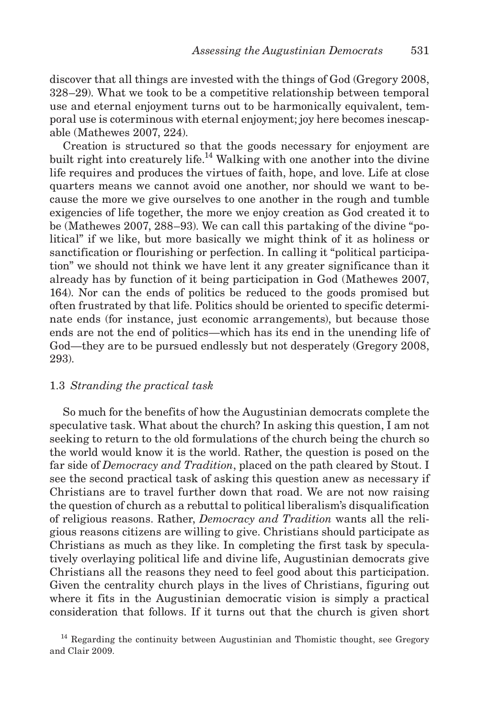discover that all things are invested with the things of God (Gregory 2008, 328–29). What we took to be a competitive relationship between temporal use and eternal enjoyment turns out to be harmonically equivalent, temporal use is coterminous with eternal enjoyment; joy here becomes inescapable (Mathewes 2007, 224).

Creation is structured so that the goods necessary for enjoyment are built right into creaturely life.<sup>14</sup> Walking with one another into the divine life requires and produces the virtues of faith, hope, and love. Life at close quarters means we cannot avoid one another, nor should we want to because the more we give ourselves to one another in the rough and tumble exigencies of life together, the more we enjoy creation as God created it to be (Mathewes 2007, 288–93). We can call this partaking of the divine "political" if we like, but more basically we might think of it as holiness or sanctification or flourishing or perfection. In calling it "political participation" we should not think we have lent it any greater significance than it already has by function of it being participation in God (Mathewes 2007, 164). Nor can the ends of politics be reduced to the goods promised but often frustrated by that life. Politics should be oriented to specific determinate ends (for instance, just economic arrangements), but because those ends are not the end of politics—which has its end in the unending life of God—they are to be pursued endlessly but not desperately (Gregory 2008, 293).

# 1.3 *Stranding the practical task*

So much for the benefits of how the Augustinian democrats complete the speculative task. What about the church? In asking this question, I am not seeking to return to the old formulations of the church being the church so the world would know it is the world. Rather, the question is posed on the far side of *Democracy and Tradition*, placed on the path cleared by Stout. I see the second practical task of asking this question anew as necessary if Christians are to travel further down that road. We are not now raising the question of church as a rebuttal to political liberalism's disqualification of religious reasons. Rather, *Democracy and Tradition* wants all the religious reasons citizens are willing to give. Christians should participate as Christians as much as they like. In completing the first task by speculatively overlaying political life and divine life, Augustinian democrats give Christians all the reasons they need to feel good about this participation. Given the centrality church plays in the lives of Christians, figuring out where it fits in the Augustinian democratic vision is simply a practical consideration that follows. If it turns out that the church is given short

<sup>&</sup>lt;sup>14</sup> Regarding the continuity between Augustinian and Thomistic thought, see Gregory and Clair 2009.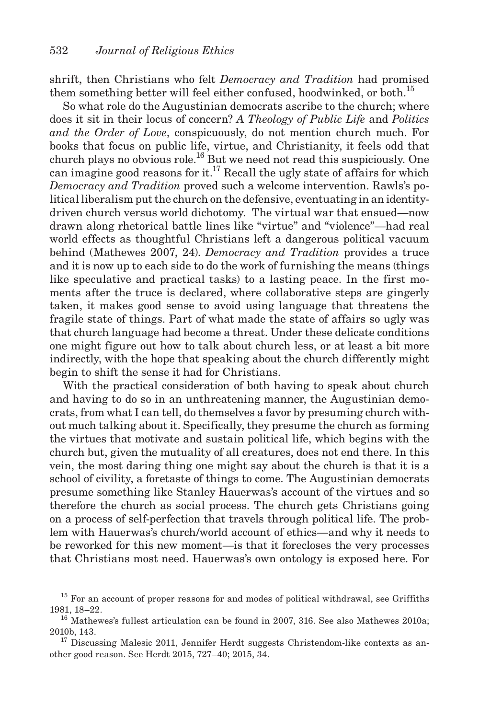shrift, then Christians who felt *Democracy and Tradition* had promised them something better will feel either confused, hoodwinked, or both.<sup>15</sup>

So what role do the Augustinian democrats ascribe to the church; where does it sit in their locus of concern? *A Theology of Public Life* and *Politics and the Order of Love*, conspicuously, do not mention church much. For books that focus on public life, virtue, and Christianity, it feels odd that church plays no obvious role.<sup>16</sup> But we need not read this suspiciously. One can imagine good reasons for it.<sup>17</sup> Recall the ugly state of affairs for which *Democracy and Tradition* proved such a welcome intervention. Rawls's political liberalism put the church on the defensive, eventuating in an identitydriven church versus world dichotomy. The virtual war that ensued—now drawn along rhetorical battle lines like "virtue" and "violence"—had real world effects as thoughtful Christians left a dangerous political vacuum behind (Mathewes 2007, 24). *Democracy and Tradition* provides a truce and it is now up to each side to do the work of furnishing the means (things like speculative and practical tasks) to a lasting peace. In the first moments after the truce is declared, where collaborative steps are gingerly taken, it makes good sense to avoid using language that threatens the fragile state of things. Part of what made the state of affairs so ugly was that church language had become a threat. Under these delicate conditions one might figure out how to talk about church less, or at least a bit more indirectly, with the hope that speaking about the church differently might begin to shift the sense it had for Christians.

With the practical consideration of both having to speak about church and having to do so in an unthreatening manner, the Augustinian democrats, from what I can tell, do themselves a favor by presuming church without much talking about it. Specifically, they presume the church as forming the virtues that motivate and sustain political life, which begins with the church but, given the mutuality of all creatures, does not end there. In this vein, the most daring thing one might say about the church is that it is a school of civility, a foretaste of things to come. The Augustinian democrats presume something like Stanley Hauerwas's account of the virtues and so therefore the church as social process. The church gets Christians going on a process of self-perfection that travels through political life. The problem with Hauerwas's church/world account of ethics—and why it needs to be reworked for this new moment—is that it forecloses the very processes that Christians most need. Hauerwas's own ontology is exposed here. For

 $15$  For an account of proper reasons for and modes of political withdrawal, see Griffiths 1981, 18–22.

<sup>&</sup>lt;sup>16</sup> Mathewes's fullest articulation can be found in 2007, 316. See also Mathewes 2010a; 2010b, 143.

 $17$  Discussing Malesic 2011, Jennifer Herdt suggests Christendom-like contexts as another good reason. See Herdt 2015, 727–40; 2015, 34.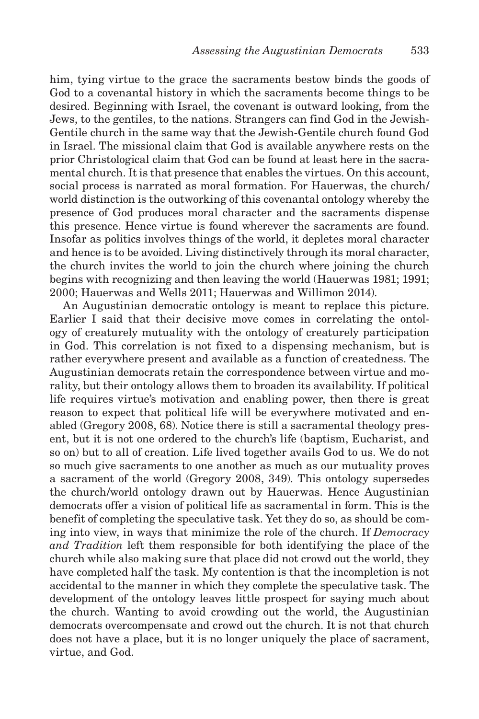him, tying virtue to the grace the sacraments bestow binds the goods of God to a covenantal history in which the sacraments become things to be desired. Beginning with Israel, the covenant is outward looking, from the Jews, to the gentiles, to the nations. Strangers can find God in the Jewish-Gentile church in the same way that the Jewish-Gentile church found God in Israel. The missional claim that God is available anywhere rests on the prior Christological claim that God can be found at least here in the sacramental church. It is that presence that enables the virtues. On this account, social process is narrated as moral formation. For Hauerwas, the church/ world distinction is the outworking of this covenantal ontology whereby the presence of God produces moral character and the sacraments dispense this presence. Hence virtue is found wherever the sacraments are found. Insofar as politics involves things of the world, it depletes moral character and hence is to be avoided. Living distinctively through its moral character, the church invites the world to join the church where joining the church begins with recognizing and then leaving the world (Hauerwas 1981; 1991; 2000; Hauerwas and Wells 2011; Hauerwas and Willimon 2014).

An Augustinian democratic ontology is meant to replace this picture. Earlier I said that their decisive move comes in correlating the ontology of creaturely mutuality with the ontology of creaturely participation in God. This correlation is not fixed to a dispensing mechanism, but is rather everywhere present and available as a function of createdness. The Augustinian democrats retain the correspondence between virtue and morality, but their ontology allows them to broaden its availability. If political life requires virtue's motivation and enabling power, then there is great reason to expect that political life will be everywhere motivated and enabled (Gregory 2008, 68). Notice there is still a sacramental theology present, but it is not one ordered to the church's life (baptism, Eucharist, and so on) but to all of creation. Life lived together avails God to us. We do not so much give sacraments to one another as much as our mutuality proves a sacrament of the world (Gregory 2008, 349). This ontology supersedes the church/world ontology drawn out by Hauerwas. Hence Augustinian democrats offer a vision of political life as sacramental in form. This is the benefit of completing the speculative task. Yet they do so, as should be coming into view, in ways that minimize the role of the church. If *Democracy and Tradition* left them responsible for both identifying the place of the church while also making sure that place did not crowd out the world, they have completed half the task. My contention is that the incompletion is not accidental to the manner in which they complete the speculative task. The development of the ontology leaves little prospect for saying much about the church. Wanting to avoid crowding out the world, the Augustinian democrats overcompensate and crowd out the church. It is not that church does not have a place, but it is no longer uniquely the place of sacrament, virtue, and God.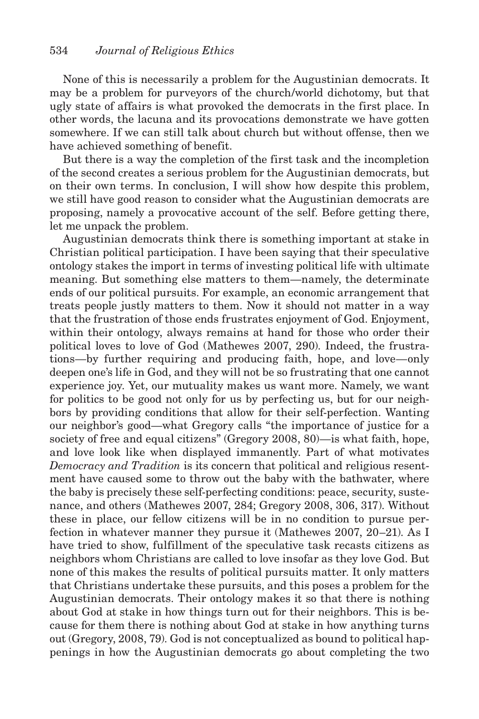None of this is necessarily a problem for the Augustinian democrats. It may be a problem for purveyors of the church/world dichotomy, but that ugly state of affairs is what provoked the democrats in the first place. In other words, the lacuna and its provocations demonstrate we have gotten somewhere. If we can still talk about church but without offense, then we have achieved something of benefit.

But there is a way the completion of the first task and the incompletion of the second creates a serious problem for the Augustinian democrats, but on their own terms. In conclusion, I will show how despite this problem, we still have good reason to consider what the Augustinian democrats are proposing, namely a provocative account of the self. Before getting there, let me unpack the problem.

Augustinian democrats think there is something important at stake in Christian political participation. I have been saying that their speculative ontology stakes the import in terms of investing political life with ultimate meaning. But something else matters to them—namely, the determinate ends of our political pursuits. For example, an economic arrangement that treats people justly matters to them. Now it should not matter in a way that the frustration of those ends frustrates enjoyment of God. Enjoyment, within their ontology, always remains at hand for those who order their political loves to love of God (Mathewes 2007, 290). Indeed, the frustrations—by further requiring and producing faith, hope, and love—only deepen one's life in God, and they will not be so frustrating that one cannot experience joy. Yet, our mutuality makes us want more. Namely, we want for politics to be good not only for us by perfecting us, but for our neighbors by providing conditions that allow for their self-perfection. Wanting our neighbor's good—what Gregory calls "the importance of justice for a society of free and equal citizens" (Gregory 2008, 80)—is what faith, hope, and love look like when displayed immanently. Part of what motivates *Democracy and Tradition* is its concern that political and religious resentment have caused some to throw out the baby with the bathwater, where the baby is precisely these self-perfecting conditions: peace, security, sustenance, and others (Mathewes 2007, 284; Gregory 2008, 306, 317). Without these in place, our fellow citizens will be in no condition to pursue perfection in whatever manner they pursue it (Mathewes 2007, 20–21). As I have tried to show, fulfillment of the speculative task recasts citizens as neighbors whom Christians are called to love insofar as they love God. But none of this makes the results of political pursuits matter. It only matters that Christians undertake these pursuits, and this poses a problem for the Augustinian democrats. Their ontology makes it so that there is nothing about God at stake in how things turn out for their neighbors. This is because for them there is nothing about God at stake in how anything turns out (Gregory, 2008, 79). God is not conceptualized as bound to political happenings in how the Augustinian democrats go about completing the two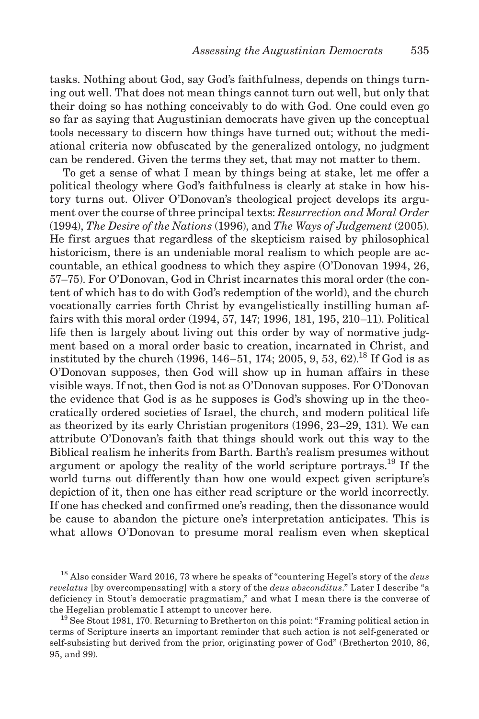tasks. Nothing about God, say God's faithfulness, depends on things turning out well. That does not mean things cannot turn out well, but only that their doing so has nothing conceivably to do with God. One could even go so far as saying that Augustinian democrats have given up the conceptual tools necessary to discern how things have turned out; without the mediational criteria now obfuscated by the generalized ontology, no judgment can be rendered. Given the terms they set, that may not matter to them.

To get a sense of what I mean by things being at stake, let me offer a political theology where God's faithfulness is clearly at stake in how history turns out. Oliver O'Donovan's theological project develops its argument over the course of three principal texts: *Resurrection and Moral Order* (1994), *The Desire of the Nations* (1996), and *The Ways of Judgement* (2005). He first argues that regardless of the skepticism raised by philosophical historicism, there is an undeniable moral realism to which people are accountable, an ethical goodness to which they aspire (O'Donovan 1994, 26, 57–75). For O'Donovan, God in Christ incarnates this moral order (the content of which has to do with God's redemption of the world), and the church vocationally carries forth Christ by evangelistically instilling human affairs with this moral order (1994, 57, 147; 1996, 181, 195, 210–11). Political life then is largely about living out this order by way of normative judgment based on a moral order basic to creation, incarnated in Christ, and instituted by the church (1996, 146-51, 174; 2005, 9, 53, 62).<sup>18</sup> If God is as O'Donovan supposes, then God will show up in human affairs in these visible ways. If not, then God is not as O'Donovan supposes. For O'Donovan the evidence that God is as he supposes is God's showing up in the theocratically ordered societies of Israel, the church, and modern political life as theorized by its early Christian progenitors (1996, 23–29, 131). We can attribute O'Donovan's faith that things should work out this way to the Biblical realism he inherits from Barth. Barth's realism presumes without argument or apology the reality of the world scripture portrays.19 If the world turns out differently than how one would expect given scripture's depiction of it, then one has either read scripture or the world incorrectly. If one has checked and confirmed one's reading, then the dissonance would be cause to abandon the picture one's interpretation anticipates. This is what allows O'Donovan to presume moral realism even when skeptical

<sup>18</sup> Also consider Ward 2016, 73 where he speaks of "countering Hegel's story of the *deus revelatus* [by overcompensating] with a story of the *deus absconditus*." Later I describe "a deficiency in Stout's democratic pragmatism," and what I mean there is the converse of the Hegelian problematic I attempt to uncover here.

<sup>19</sup> See Stout 1981, 170. Returning to Bretherton on this point: "Framing political action in terms of Scripture inserts an important reminder that such action is not self-generated or self-subsisting but derived from the prior, originating power of God" (Bretherton 2010, 86, 95, and 99).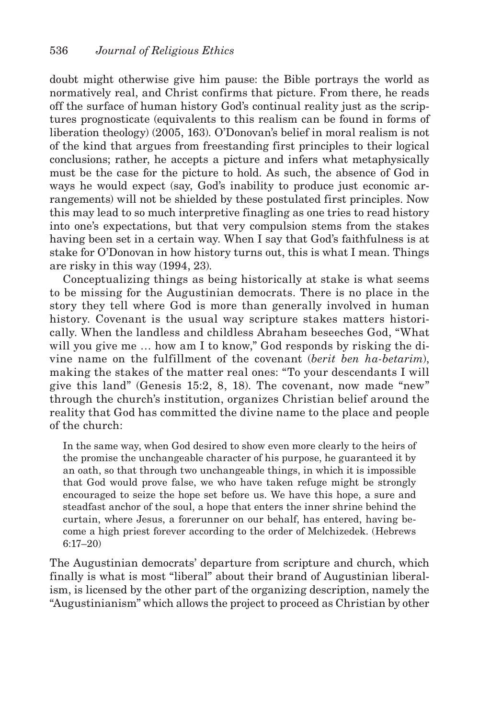doubt might otherwise give him pause: the Bible portrays the world as normatively real, and Christ confirms that picture. From there, he reads off the surface of human history God's continual reality just as the scriptures prognosticate (equivalents to this realism can be found in forms of liberation theology) (2005, 163). O'Donovan's belief in moral realism is not of the kind that argues from freestanding first principles to their logical conclusions; rather, he accepts a picture and infers what metaphysically must be the case for the picture to hold. As such, the absence of God in ways he would expect (say, God's inability to produce just economic arrangements) will not be shielded by these postulated first principles. Now this may lead to so much interpretive finagling as one tries to read history into one's expectations, but that very compulsion stems from the stakes having been set in a certain way. When I say that God's faithfulness is at stake for O'Donovan in how history turns out, this is what I mean. Things are risky in this way (1994, 23).

Conceptualizing things as being historically at stake is what seems to be missing for the Augustinian democrats. There is no place in the story they tell where God is more than generally involved in human history. Covenant is the usual way scripture stakes matters historically. When the landless and childless Abraham beseeches God, "What will you give me … how am I to know," God responds by risking the divine name on the fulfillment of the covenant (*berit ben ha-betarim*), making the stakes of the matter real ones: "To your descendants I will give this land" (Genesis 15:2, 8, 18). The covenant, now made "new" through the church's institution, organizes Christian belief around the reality that God has committed the divine name to the place and people of the church:

In the same way, when God desired to show even more clearly to the heirs of the promise the unchangeable character of his purpose, he guaranteed it by an oath, so that through two unchangeable things, in which it is impossible that God would prove false, we who have taken refuge might be strongly encouraged to seize the hope set before us. We have this hope, a sure and steadfast anchor of the soul, a hope that enters the inner shrine behind the curtain, where Jesus, a forerunner on our behalf, has entered, having become a high priest forever according to the order of Melchizedek. (Hebrews 6:17–20)

The Augustinian democrats' departure from scripture and church, which finally is what is most "liberal" about their brand of Augustinian liberalism, is licensed by the other part of the organizing description, namely the "Augustinianism" which allows the project to proceed as Christian by other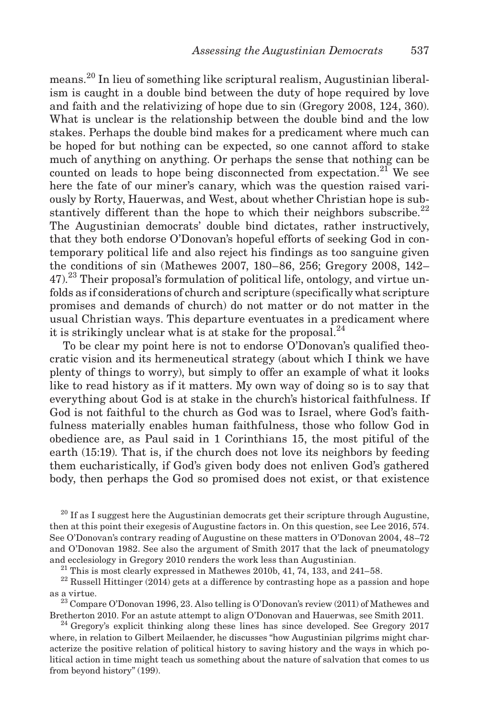means.20 In lieu of something like scriptural realism, Augustinian liberalism is caught in a double bind between the duty of hope required by love and faith and the relativizing of hope due to sin (Gregory 2008, 124, 360). What is unclear is the relationship between the double bind and the low stakes. Perhaps the double bind makes for a predicament where much can be hoped for but nothing can be expected, so one cannot afford to stake much of anything on anything. Or perhaps the sense that nothing can be counted on leads to hope being disconnected from expectation.<sup>21</sup> We see here the fate of our miner's canary, which was the question raised variously by Rorty, Hauerwas, and West, about whether Christian hope is substantively different than the hope to which their neighbors subscribe.<sup>22</sup> The Augustinian democrats' double bind dictates, rather instructively, that they both endorse O'Donovan's hopeful efforts of seeking God in contemporary political life and also reject his findings as too sanguine given the conditions of sin (Mathewes 2007, 180–86, 256; Gregory 2008, 142– 47).23 Their proposal's formulation of political life, ontology, and virtue unfolds as if considerations of church and scripture (specifically what scripture promises and demands of church) do not matter or do not matter in the usual Christian ways. This departure eventuates in a predicament where it is strikingly unclear what is at stake for the proposal.  $24$ 

To be clear my point here is not to endorse O'Donovan's qualified theocratic vision and its hermeneutical strategy (about which I think we have plenty of things to worry), but simply to offer an example of what it looks like to read history as if it matters. My own way of doing so is to say that everything about God is at stake in the church's historical faithfulness. If God is not faithful to the church as God was to Israel, where God's faithfulness materially enables human faithfulness, those who follow God in obedience are, as Paul said in 1 Corinthians 15, the most pitiful of the earth (15:19). That is, if the church does not love its neighbors by feeding them eucharistically, if God's given body does not enliven God's gathered body, then perhaps the God so promised does not exist, or that existence

 $20$  If as I suggest here the Augustinian democrats get their scripture through Augustine, then at this point their exegesis of Augustine factors in. On this question, see Lee 2016, 574. See O'Donovan's contrary reading of Augustine on these matters in O'Donovan 2004, 48–72 and O'Donovan 1982. See also the argument of Smith 2017 that the lack of pneumatology and ecclesiology in Gregory 2010 renders the work less than Augustinian.

 $21$  This is most clearly expressed in Mathewes 2010b, 41, 74, 133, and 241-58.

 $^{22}$  Russell Hittinger (2014) gets at a difference by contrasting hope as a passion and hope as a virtue.

23 Compare O'Donovan 1996, 23. Also telling is O'Donovan's review (2011) of Mathewes and Bretherton 2010. For an astute attempt to align O'Donovan and Hauerwas, see Smith 2011.

 $^{24}$  Gregory's explicit thinking along these lines has since developed. See Gregory 2017 where, in relation to Gilbert Meilaender, he discusses "how Augustinian pilgrims might characterize the positive relation of political history to saving history and the ways in which political action in time might teach us something about the nature of salvation that comes to us from beyond history" (199).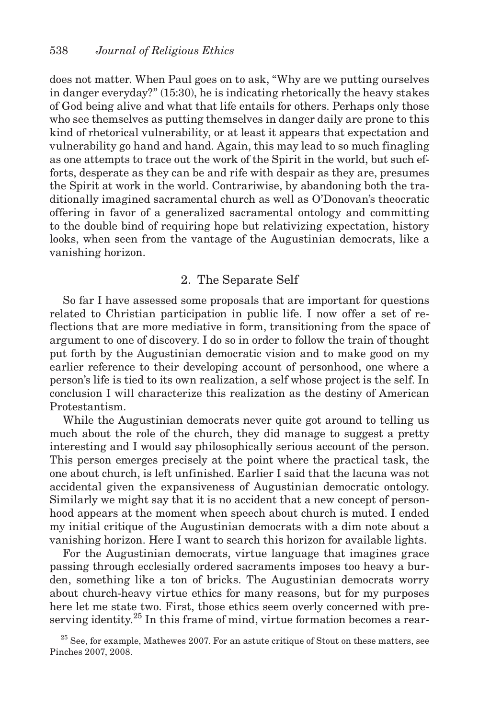does not matter. When Paul goes on to ask, "Why are we putting ourselves in danger everyday?" (15:30), he is indicating rhetorically the heavy stakes of God being alive and what that life entails for others. Perhaps only those who see themselves as putting themselves in danger daily are prone to this kind of rhetorical vulnerability, or at least it appears that expectation and vulnerability go hand and hand. Again, this may lead to so much finagling as one attempts to trace out the work of the Spirit in the world, but such efforts, desperate as they can be and rife with despair as they are, presumes the Spirit at work in the world. Contrariwise, by abandoning both the traditionally imagined sacramental church as well as O'Donovan's theocratic offering in favor of a generalized sacramental ontology and committing to the double bind of requiring hope but relativizing expectation, history looks, when seen from the vantage of the Augustinian democrats, like a vanishing horizon.

# 2. The Separate Self

So far I have assessed some proposals that are important for questions related to Christian participation in public life. I now offer a set of reflections that are more mediative in form, transitioning from the space of argument to one of discovery. I do so in order to follow the train of thought put forth by the Augustinian democratic vision and to make good on my earlier reference to their developing account of personhood, one where a person's life is tied to its own realization, a self whose project is the self. In conclusion I will characterize this realization as the destiny of American Protestantism.

While the Augustinian democrats never quite got around to telling us much about the role of the church, they did manage to suggest a pretty interesting and I would say philosophically serious account of the person. This person emerges precisely at the point where the practical task, the one about church, is left unfinished. Earlier I said that the lacuna was not accidental given the expansiveness of Augustinian democratic ontology. Similarly we might say that it is no accident that a new concept of personhood appears at the moment when speech about church is muted. I ended my initial critique of the Augustinian democrats with a dim note about a vanishing horizon. Here I want to search this horizon for available lights.

For the Augustinian democrats, virtue language that imagines grace passing through ecclesially ordered sacraments imposes too heavy a burden, something like a ton of bricks. The Augustinian democrats worry about church-heavy virtue ethics for many reasons, but for my purposes here let me state two. First, those ethics seem overly concerned with preserving identity.<sup>25</sup> In this frame of mind, virtue formation becomes a rear-

 $25$  See, for example, Mathewes 2007. For an astute critique of Stout on these matters, see Pinches 2007, 2008.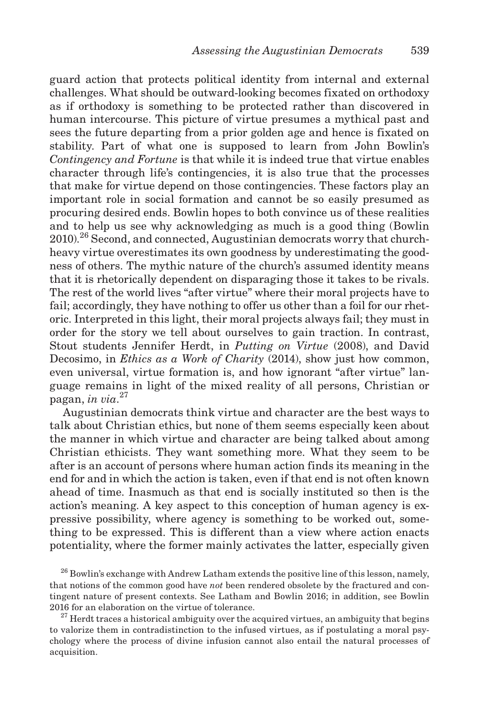guard action that protects political identity from internal and external challenges. What should be outward-looking becomes fixated on orthodoxy as if orthodoxy is something to be protected rather than discovered in human intercourse. This picture of virtue presumes a mythical past and sees the future departing from a prior golden age and hence is fixated on stability. Part of what one is supposed to learn from John Bowlin's *Contingency and Fortune* is that while it is indeed true that virtue enables character through life's contingencies, it is also true that the processes that make for virtue depend on those contingencies. These factors play an important role in social formation and cannot be so easily presumed as procuring desired ends. Bowlin hopes to both convince us of these realities and to help us see why acknowledging as much is a good thing (Bowlin 2010).<sup>26</sup> Second, and connected, Augustinian democrats worry that churchheavy virtue overestimates its own goodness by underestimating the goodness of others. The mythic nature of the church's assumed identity means that it is rhetorically dependent on disparaging those it takes to be rivals. The rest of the world lives "after virtue" where their moral projects have to fail; accordingly, they have nothing to offer us other than a foil for our rhetoric. Interpreted in this light, their moral projects always fail; they must in order for the story we tell about ourselves to gain traction. In contrast, Stout students Jennifer Herdt, in *Putting on Virtue* (2008), and David Decosimo, in *Ethics as a Work of Charity* (2014), show just how common, even universal, virtue formation is, and how ignorant "after virtue" language remains in light of the mixed reality of all persons, Christian or pagan, *in via*. 27

Augustinian democrats think virtue and character are the best ways to talk about Christian ethics, but none of them seems especially keen about the manner in which virtue and character are being talked about among Christian ethicists. They want something more. What they seem to be after is an account of persons where human action finds its meaning in the end for and in which the action is taken, even if that end is not often known ahead of time. Inasmuch as that end is socially instituted so then is the action's meaning. A key aspect to this conception of human agency is expressive possibility, where agency is something to be worked out, something to be expressed. This is different than a view where action enacts potentiality, where the former mainly activates the latter, especially given

 $26$  Bowlin's exchange with Andrew Latham extends the positive line of this lesson, namely, that notions of the common good have *not* been rendered obsolete by the fractured and contingent nature of present contexts. See Latham and Bowlin 2016; in addition, see Bowlin 2016 for an elaboration on the virtue of tolerance.

<sup>27</sup> Herdt traces a historical ambiguity over the acquired virtues, an ambiguity that begins to valorize them in contradistinction to the infused virtues, as if postulating a moral psychology where the process of divine infusion cannot also entail the natural processes of acquisition.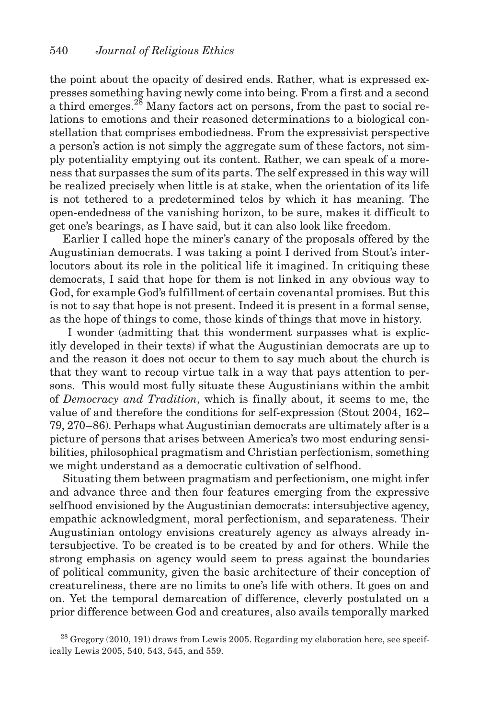the point about the opacity of desired ends. Rather, what is expressed expresses something having newly come into being. From a first and a second a third emerges.  $28$  Many factors act on persons, from the past to social relations to emotions and their reasoned determinations to a biological constellation that comprises embodiedness. From the expressivist perspective a person's action is not simply the aggregate sum of these factors, not simply potentiality emptying out its content. Rather, we can speak of a moreness that surpasses the sum of its parts. The self expressed in this way will be realized precisely when little is at stake, when the orientation of its life is not tethered to a predetermined telos by which it has meaning. The open-endedness of the vanishing horizon, to be sure, makes it difficult to get one's bearings, as I have said, but it can also look like freedom.

Earlier I called hope the miner's canary of the proposals offered by the Augustinian democrats. I was taking a point I derived from Stout's interlocutors about its role in the political life it imagined. In critiquing these democrats, I said that hope for them is not linked in any obvious way to God, for example God's fulfillment of certain covenantal promises. But this is not to say that hope is not present. Indeed it is present in a formal sense, as the hope of things to come, those kinds of things that move in history.

 I wonder (admitting that this wonderment surpasses what is explicitly developed in their texts) if what the Augustinian democrats are up to and the reason it does not occur to them to say much about the church is that they want to recoup virtue talk in a way that pays attention to persons. This would most fully situate these Augustinians within the ambit of *Democracy and Tradition*, which is finally about, it seems to me, the value of and therefore the conditions for self-expression (Stout 2004, 162– 79, 270–86). Perhaps what Augustinian democrats are ultimately after is a picture of persons that arises between America's two most enduring sensibilities, philosophical pragmatism and Christian perfectionism, something we might understand as a democratic cultivation of selfhood.

Situating them between pragmatism and perfectionism, one might infer and advance three and then four features emerging from the expressive selfhood envisioned by the Augustinian democrats: intersubjective agency, empathic acknowledgment, moral perfectionism, and separateness. Their Augustinian ontology envisions creaturely agency as always already intersubjective. To be created is to be created by and for others. While the strong emphasis on agency would seem to press against the boundaries of political community, given the basic architecture of their conception of creatureliness, there are no limits to one's life with others. It goes on and on. Yet the temporal demarcation of difference, cleverly postulated on a prior difference between God and creatures, also avails temporally marked

 $^{28}$  Gregory (2010, 191) draws from Lewis 2005. Regarding my elaboration here, see specifically Lewis 2005, 540, 543, 545, and 559.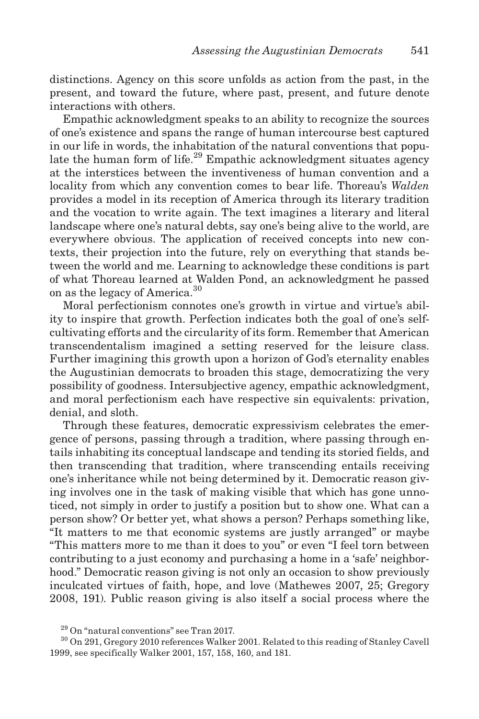distinctions. Agency on this score unfolds as action from the past, in the present, and toward the future, where past, present, and future denote interactions with others.

Empathic acknowledgment speaks to an ability to recognize the sources of one's existence and spans the range of human intercourse best captured in our life in words, the inhabitation of the natural conventions that populate the human form of life.<sup>29</sup> Empathic acknowledgment situates agency at the interstices between the inventiveness of human convention and a locality from which any convention comes to bear life. Thoreau's *Walden* provides a model in its reception of America through its literary tradition and the vocation to write again. The text imagines a literary and literal landscape where one's natural debts, say one's being alive to the world, are everywhere obvious. The application of received concepts into new contexts, their projection into the future, rely on everything that stands between the world and me. Learning to acknowledge these conditions is part of what Thoreau learned at Walden Pond, an acknowledgment he passed on as the legacy of America.<sup>30</sup>

Moral perfectionism connotes one's growth in virtue and virtue's ability to inspire that growth. Perfection indicates both the goal of one's selfcultivating efforts and the circularity of its form. Remember that American transcendentalism imagined a setting reserved for the leisure class. Further imagining this growth upon a horizon of God's eternality enables the Augustinian democrats to broaden this stage, democratizing the very possibility of goodness. Intersubjective agency, empathic acknowledgment, and moral perfectionism each have respective sin equivalents: privation, denial, and sloth.

Through these features, democratic expressivism celebrates the emergence of persons, passing through a tradition, where passing through entails inhabiting its conceptual landscape and tending its storied fields, and then transcending that tradition, where transcending entails receiving one's inheritance while not being determined by it. Democratic reason giving involves one in the task of making visible that which has gone unnoticed, not simply in order to justify a position but to show one. What can a person show? Or better yet, what shows a person? Perhaps something like, "It matters to me that economic systems are justly arranged" or maybe "This matters more to me than it does to you" or even "I feel torn between contributing to a just economy and purchasing a home in a 'safe' neighborhood." Democratic reason giving is not only an occasion to show previously inculcated virtues of faith, hope, and love (Mathewes 2007, 25; Gregory 2008, 191). Public reason giving is also itself a social process where the

 $29$  On "natural conventions" see Tran 2017.

<sup>&</sup>lt;sup>30</sup> On 291, Gregory 2010 references Walker 2001. Related to this reading of Stanley Cavell 1999, see specifically Walker 2001, 157, 158, 160, and 181.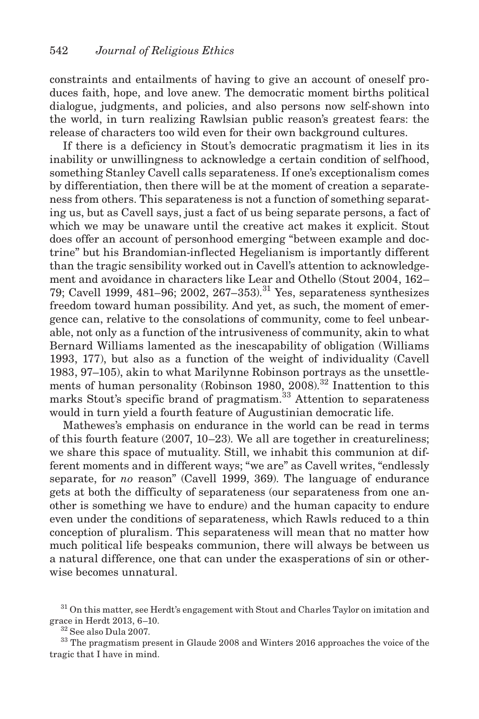constraints and entailments of having to give an account of oneself produces faith, hope, and love anew. The democratic moment births political dialogue, judgments, and policies, and also persons now self-shown into the world, in turn realizing Rawlsian public reason's greatest fears: the release of characters too wild even for their own background cultures.

If there is a deficiency in Stout's democratic pragmatism it lies in its inability or unwillingness to acknowledge a certain condition of selfhood, something Stanley Cavell calls separateness. If one's exceptionalism comes by differentiation, then there will be at the moment of creation a separateness from others. This separateness is not a function of something separating us, but as Cavell says, just a fact of us being separate persons, a fact of which we may be unaware until the creative act makes it explicit. Stout does offer an account of personhood emerging "between example and doctrine" but his Brandomian-inflected Hegelianism is importantly different than the tragic sensibility worked out in Cavell's attention to acknowledgement and avoidance in characters like Lear and Othello (Stout 2004, 162– 79; Cavell 1999, 481–96; 2002, 267–353).<sup>31</sup> Yes, separateness synthesizes freedom toward human possibility. And yet, as such, the moment of emergence can, relative to the consolations of community, come to feel unbearable, not only as a function of the intrusiveness of community, akin to what Bernard Williams lamented as the inescapability of obligation (Williams 1993, 177), but also as a function of the weight of individuality (Cavell 1983, 97–105), akin to what Marilynne Robinson portrays as the unsettlements of human personality (Robinson 1980, 2008).<sup>32</sup> Inattention to this marks Stout's specific brand of pragmatism.<sup>33</sup> Attention to separateness would in turn yield a fourth feature of Augustinian democratic life.

Mathewes's emphasis on endurance in the world can be read in terms of this fourth feature (2007, 10–23). We all are together in creatureliness; we share this space of mutuality. Still, we inhabit this communion at different moments and in different ways; "we are" as Cavell writes, "endlessly separate, for *no* reason" (Cavell 1999, 369). The language of endurance gets at both the difficulty of separateness (our separateness from one another is something we have to endure) and the human capacity to endure even under the conditions of separateness, which Rawls reduced to a thin conception of pluralism. This separateness will mean that no matter how much political life bespeaks communion, there will always be between us a natural difference, one that can under the exasperations of sin or otherwise becomes unnatural.

<sup>33</sup> The pragmatism present in Glaude 2008 and Winters 2016 approaches the voice of the tragic that I have in mind.

 $31$  On this matter, see Herdt's engagement with Stout and Charles Taylor on imitation and grace in Herdt 2013, 6–10.

<sup>32</sup> See also Dula 2007.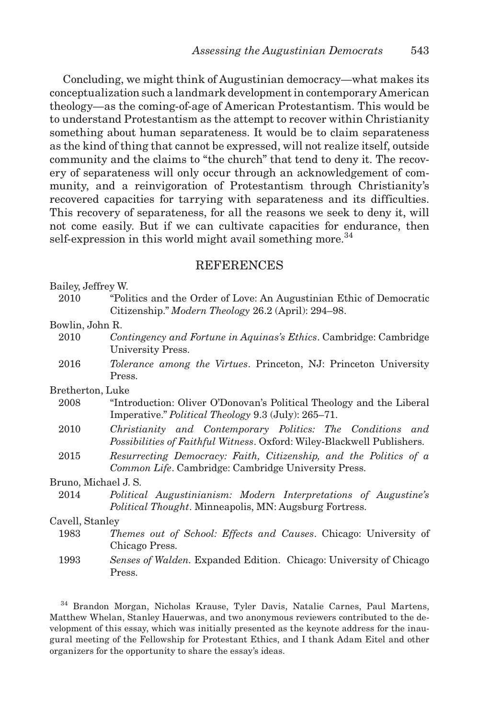Concluding, we might think of Augustinian democracy—what makes its conceptualization such a landmark development in contemporary American theology—as the coming-of-age of American Protestantism. This would be to understand Protestantism as the attempt to recover within Christianity something about human separateness. It would be to claim separateness as the kind of thing that cannot be expressed, will not realize itself, outside community and the claims to "the church" that tend to deny it. The recovery of separateness will only occur through an acknowledgement of community, and a reinvigoration of Protestantism through Christianity's recovered capacities for tarrying with separateness and its difficulties. This recovery of separateness, for all the reasons we seek to deny it, will not come easily. But if we can cultivate capacities for endurance, then self-expression in this world might avail something more.<sup>34</sup>

### REFERENCES

Bailey, Jeffrey W.

2010 "Politics and the Order of Love: An Augustinian Ethic of Democratic Citizenship." *Modern Theology* 26.2 (April): 294–98.

Bowlin, John R.

- 2010 *Contingency and Fortune in Aquinas's Ethics*. Cambridge: Cambridge University Press.
- 2016 *Tolerance among the Virtues*. Princeton, NJ: Princeton University Press.

Bretherton, Luke

- 2008 "Introduction: Oliver O'Donovan's Political Theology and the Liberal Imperative." *Political Theology* 9.3 (July): 265–71.
- 2010 *Christianity and Contemporary Politics: The Conditions and Possibilities of Faithful Witness*. Oxford: Wiley-Blackwell Publishers.
- 2015 *Resurrecting Democracy: Faith, Citizenship, and the Politics of a Common Life*. Cambridge: Cambridge University Press.

Bruno, Michael J. S.

2014 *Political Augustinianism: Modern Interpretations of Augustine's Political Thought*. Minneapolis, MN: Augsburg Fortress.

Cavell, Stanley

- 1983 *Themes out of School: Effects and Causes*. Chicago: University of Chicago Press.
- 1993 *Senses of Walden.* Expanded Edition. Chicago: University of Chicago Press.

34 Brandon Morgan, Nicholas Krause, Tyler Davis, Natalie Carnes, Paul Martens, Matthew Whelan, Stanley Hauerwas, and two anonymous reviewers contributed to the development of this essay, which was initially presented as the keynote address for the inaugural meeting of the Fellowship for Protestant Ethics, and I thank Adam Eitel and other organizers for the opportunity to share the essay's ideas.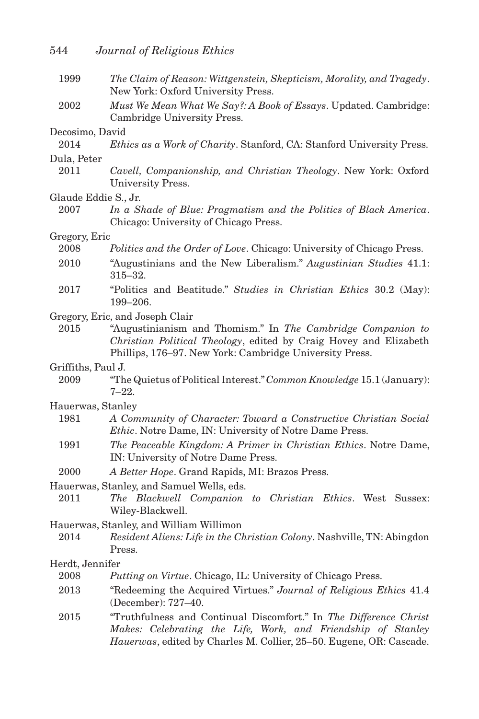| 1999                 | The Claim of Reason: Wittgenstein, Skepticism, Morality, and Tragedy.<br>New York: Oxford University Press.                                                                                              |  |  |  |  |  |
|----------------------|----------------------------------------------------------------------------------------------------------------------------------------------------------------------------------------------------------|--|--|--|--|--|
| 2002                 | Must We Mean What We Say?: A Book of Essays. Updated. Cambridge:<br>Cambridge University Press.                                                                                                          |  |  |  |  |  |
| Decosimo, David      |                                                                                                                                                                                                          |  |  |  |  |  |
| 2014                 | Ethics as a Work of Charity. Stanford, CA: Stanford University Press.                                                                                                                                    |  |  |  |  |  |
| Dula, Peter          |                                                                                                                                                                                                          |  |  |  |  |  |
| 2011                 | Cavell, Companionship, and Christian Theology. New York: Oxford<br>University Press.                                                                                                                     |  |  |  |  |  |
| Glaude Eddie S., Jr. |                                                                                                                                                                                                          |  |  |  |  |  |
| 2007                 | In a Shade of Blue: Pragmatism and the Politics of Black America.<br>Chicago: University of Chicago Press.                                                                                               |  |  |  |  |  |
| Gregory, Eric        |                                                                                                                                                                                                          |  |  |  |  |  |
| 2008                 | Politics and the Order of Love. Chicago: University of Chicago Press.                                                                                                                                    |  |  |  |  |  |
| 2010                 | "Augustinians and the New Liberalism." Augustinian Studies 41.1:<br>$315 - 32.$                                                                                                                          |  |  |  |  |  |
| 2017                 | "Politics and Beatitude." Studies in Christian Ethics 30.2 (May):<br>199–206.                                                                                                                            |  |  |  |  |  |
|                      | Gregory, Eric, and Joseph Clair                                                                                                                                                                          |  |  |  |  |  |
| 2015                 | "Augustinianism and Thomism." In The Cambridge Companion to<br>Christian Political Theology, edited by Craig Hovey and Elizabeth<br>Phillips, 176-97. New York: Cambridge University Press.              |  |  |  |  |  |
| Griffiths, Paul J.   |                                                                                                                                                                                                          |  |  |  |  |  |
| 2009                 | "The Quietus of Political Interest." Common Knowledge 15.1 (January):<br>$7 - 22.$                                                                                                                       |  |  |  |  |  |
| Hauerwas, Stanley    |                                                                                                                                                                                                          |  |  |  |  |  |
| 1981                 | A Community of Character: Toward a Constructive Christian Social<br>Ethic. Notre Dame, IN: University of Notre Dame Press.                                                                               |  |  |  |  |  |
| 1991                 | The Peaceable Kingdom: A Primer in Christian Ethics. Notre Dame,<br>IN: University of Notre Dame Press.                                                                                                  |  |  |  |  |  |
| 2000                 | A Better Hope. Grand Rapids, MI: Brazos Press.                                                                                                                                                           |  |  |  |  |  |
|                      | Hauerwas, Stanley, and Samuel Wells, eds.                                                                                                                                                                |  |  |  |  |  |
| 2011                 | The Blackwell Companion to Christian Ethics. West Sussex:<br>Wiley-Blackwell.                                                                                                                            |  |  |  |  |  |
|                      | Hauerwas, Stanley, and William Willimon                                                                                                                                                                  |  |  |  |  |  |
| 2014                 | Resident Aliens: Life in the Christian Colony. Nashville, TN: Abingdon<br>Press.                                                                                                                         |  |  |  |  |  |
| Herdt, Jennifer      |                                                                                                                                                                                                          |  |  |  |  |  |
| 2008                 | <i>Putting on Virtue.</i> Chicago, IL: University of Chicago Press.                                                                                                                                      |  |  |  |  |  |
| 2013                 | "Redeeming the Acquired Virtues." Journal of Religious Ethics 41.4<br>(December): 727–40.                                                                                                                |  |  |  |  |  |
| 2015                 | "Truthfulness and Continual Discomfort." In The Difference Christ<br>Makes: Celebrating the Life, Work, and Friendship of Stanley<br>Hauerwas, edited by Charles M. Collier, 25-50. Eugene, OR: Cascade. |  |  |  |  |  |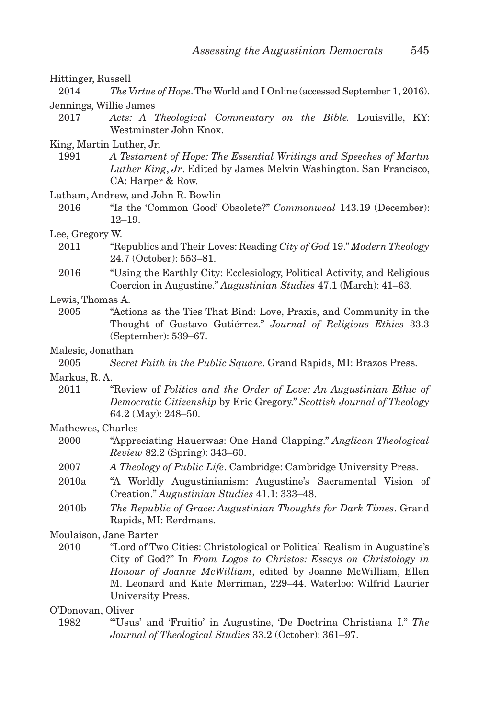| Hittinger, Russell<br>2014       | The Virtue of Hope. The World and I Online (accessed September 1, 2016).                                                                                                                                                                                                                              |
|----------------------------------|-------------------------------------------------------------------------------------------------------------------------------------------------------------------------------------------------------------------------------------------------------------------------------------------------------|
| Jennings, Willie James<br>2017   | Acts: A Theological Commentary on the Bible. Louisville, KY:<br>Westminster John Knox.                                                                                                                                                                                                                |
| King, Martin Luther, Jr.<br>1991 | A Testament of Hope: The Essential Writings and Speeches of Martin<br>Luther King, Jr. Edited by James Melvin Washington. San Francisco,<br>CA: Harper & Row.                                                                                                                                         |
| 2016                             | Latham, Andrew, and John R. Bowlin<br>"Is the 'Common Good' Obsolete?" Commonweal 143.19 (December):<br>$12 - 19.$                                                                                                                                                                                    |
| Lee, Gregory W.                  |                                                                                                                                                                                                                                                                                                       |
| 2011                             | "Republics and Their Loves: Reading City of God 19." Modern Theology<br>24.7 (October): 553-81.                                                                                                                                                                                                       |
| 2016                             | "Using the Earthly City: Ecclesiology, Political Activity, and Religious<br>Coercion in Augustine." Augustinian Studies 47.1 (March): 41-63.                                                                                                                                                          |
| Lewis, Thomas A.                 |                                                                                                                                                                                                                                                                                                       |
| 2005                             | "Actions as the Ties That Bind: Love, Praxis, and Community in the<br>Thought of Gustavo Gutiérrez." Journal of Religious Ethics 33.3<br>(September): 539-67.                                                                                                                                         |
| Malesic, Jonathan                |                                                                                                                                                                                                                                                                                                       |
| 2005                             | Secret Faith in the Public Square. Grand Rapids, MI: Brazos Press.                                                                                                                                                                                                                                    |
| Markus, R.A.                     |                                                                                                                                                                                                                                                                                                       |
| 2011                             | "Review of Politics and the Order of Love: An Augustinian Ethic of<br>Democratic Citizenship by Eric Gregory." Scottish Journal of Theology<br>64.2 (May): $248 - 50$ .                                                                                                                               |
| Mathewes, Charles                |                                                                                                                                                                                                                                                                                                       |
| 2000                             | "Appreciating Hauerwas: One Hand Clapping." Anglican Theological<br>Review 82.2 (Spring): 343-60.                                                                                                                                                                                                     |
| 2007                             | A Theology of Public Life. Cambridge: Cambridge University Press.                                                                                                                                                                                                                                     |
| 2010a                            | "A Worldly Augustinianism: Augustine's Sacramental Vision of<br>Creation." Augustinian Studies 41.1: 333-48.                                                                                                                                                                                          |
| 2010b                            | The Republic of Grace: Augustinian Thoughts for Dark Times. Grand<br>Rapids, MI: Eerdmans.                                                                                                                                                                                                            |
| Moulaison, Jane Barter           |                                                                                                                                                                                                                                                                                                       |
| 2010                             | "Lord of Two Cities: Christological or Political Realism in Augustine's<br>City of God?" In From Logos to Christos: Essays on Christology in<br>Honour of Joanne McWilliam, edited by Joanne McWilliam, Ellen<br>M. Leonard and Kate Merriman, 229-44. Waterloo: Wilfrid Laurier<br>University Press. |

- O'Donovan, Oliver
	- 1982 "'Usus' and 'Fruitio' in Augustine, 'De Doctrina Christiana I." *The Journal of Theological Studies* 33.2 (October): 361–97.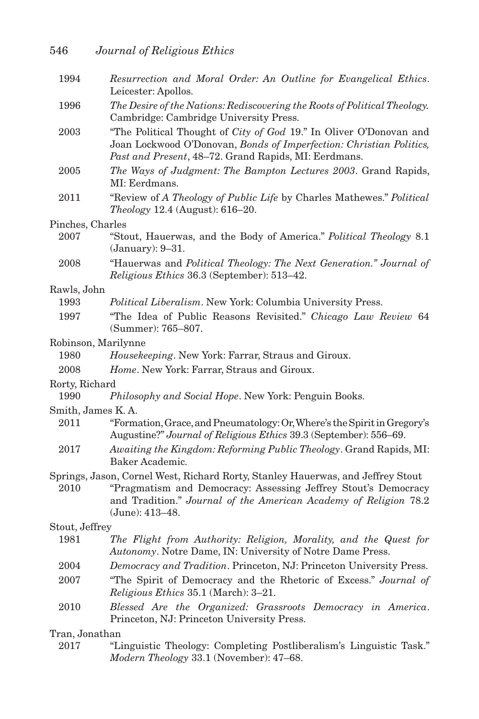| 1994 | Resurrection and Moral Order: An Outline for Evangelical Ethics. |  |  |  |
|------|------------------------------------------------------------------|--|--|--|
|      | Leicester: Apollos.                                              |  |  |  |

- 1996 *The Desire of the Nations: Rediscovering the Roots of Political Theology.* Cambridge: Cambridge University Press.
- 2003 "The Political Thought of *City of God* 19." In Oliver O'Donovan and Joan Lockwood O'Donovan, *Bonds of Imperfection: Christian Politics, Past and Present*, 48–72. Grand Rapids, MI: Eerdmans.
- 2005 *The Ways of Judgment: The Bampton Lectures 2003*. Grand Rapids, MI: Eerdmans.
- 2011 "Review of *A Theology of Public Life* by Charles Mathewes." *Political Theology* 12.4 (August): 616–20.

#### Pinches, Charles

- 2007 "Stout, Hauerwas, and the Body of America." *Political Theology* 8.1 (January): 9–31.
- 2008 "Hauerwas and *Political Theology: The Next Generation." Journal of Religious Ethics* 36.3 (September): 513–42.

#### Rawls, John

- 1993 *Political Liberalism*. New York: Columbia University Press.
- 1997 "The Idea of Public Reasons Revisited." *Chicago Law Review* 64 (Summer): 765–807.

#### Robinson, Marilynne

| 1980 | <i>Housekeeping.</i> New York: Farrar, Straus and Giroux. |  |  |  |
|------|-----------------------------------------------------------|--|--|--|
|------|-----------------------------------------------------------|--|--|--|

2008 *Home*. New York: Farrar, Straus and Giroux.

#### Rorty, Richard

1990 *Philosophy and Social Hope*. New York: Penguin Books.

# Smith, James K. A.

- 2011 "Formation, Grace, and Pneumatology: Or, Where's the Spirit in Gregory's Augustine?" *Journal of Religious Ethics* 39.3 (September): 556–69.
- 2017 *Awaiting the Kingdom: Reforming Public Theology*. Grand Rapids, MI: Baker Academic.

Springs, Jason, Cornel West, Richard Rorty, Stanley Hauerwas, and Jeffrey Stout

2010 "Pragmatism and Democracy: Assessing Jeffrey Stout's Democracy and Tradition." *Journal of the American Academy of Religion* 78.2 (June): 413–48.

## Stout, Jeffrey

- 1981 *The Flight from Authority: Religion, Morality, and the Quest for Autonomy*. Notre Dame, IN: University of Notre Dame Press.
- 2004 *Democracy and Tradition*. Princeton, NJ: Princeton University Press.
- 2007 "The Spirit of Democracy and the Rhetoric of Excess." *Journal of Religious Ethics* 35.1 (March): 3–21.
- 2010 *Blessed Are the Organized: Grassroots Democracy in America*. Princeton, NJ: Princeton University Press.

#### Tran, Jonathan

2017 "Linguistic Theology: Completing Postliberalism's Linguistic Task." *Modern Theology* 33.1 (November): 47–68.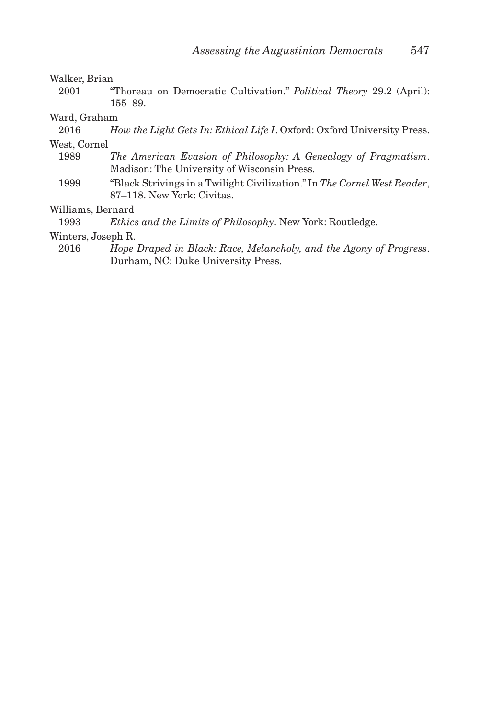Walker, Brian

2001 "Thoreau on Democratic Cultivation." *Political Theory* 29.2 (April): 155–89.

# Ward, Graham

2016 *How the Light Gets In: Ethical Life I*. Oxford: Oxford University Press. West, Cornel

- 1989 *The American Evasion of Philosophy: A Genealogy of Pragmatism*. Madison: The University of Wisconsin Press.
- 1999 "Black Strivings in a Twilight Civilization." In *The Cornel West Reader*, 87–118. New York: Civitas.

### Williams, Bernard

1993 *Ethics and the Limits of Philosophy*. New York: Routledge.

## Winters, Joseph R.

2016 *Hope Draped in Black: Race, Melancholy, and the Agony of Progress*. Durham, NC: Duke University Press.